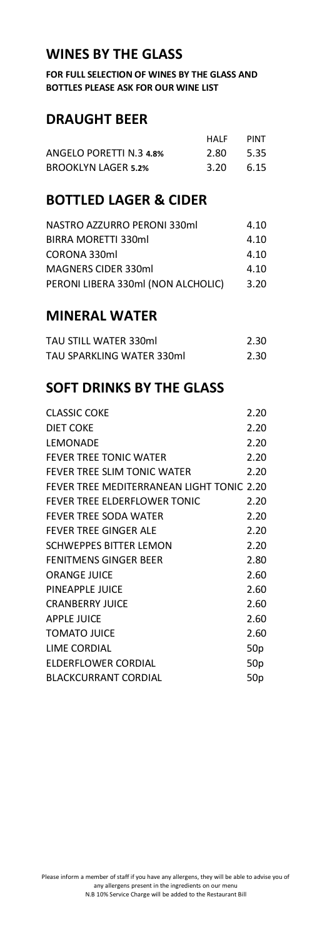### **WINES BY THE GLASS**

**FOR FULL SELECTION OF WINES BY THE GLASS AND BOTTLES PLEASE ASK FOR OUR WINE LIST**

#### **DRAUGHT BEER**

|                            | HAIF | <b>PINT</b> |
|----------------------------|------|-------------|
| ANGELO PORETTI N.3 4.8%    | 2.80 | 5.35        |
| <b>BROOKLYN LAGER 5.2%</b> | 3.20 | 6.15        |

## **BOTTLED LAGER & CIDER**

| 4.10 |
|------|
| 4.10 |
| 4.10 |
| 4.10 |
| 3.20 |
|      |

#### **MINERAL WATER**

| TAU STILL WATER 330ml     | 2.30 |
|---------------------------|------|
| TAU SPARKLING WATER 330ml | 2.30 |

## **SOFT DRINKS BY THE GLASS**

| <b>CLASSIC COKE</b>                       | 2.20            |
|-------------------------------------------|-----------------|
| DIET COKE                                 | 2.20            |
| LEMONADE                                  | 2.20            |
| <b>FEVER TREE TONIC WATER</b>             | 2.20            |
| FEVER TREE SLIM TONIC WATER               | 2.20            |
| FEVER TREE MEDITERRANEAN LIGHT TONIC 2.20 |                 |
| FEVER TREE ELDERFLOWER TONIC              | 2.20            |
| <b>FEVER TREE SODA WATER</b>              | 2.20            |
| <b>FEVER TREE GINGER ALE</b>              | 2.20            |
| SCHWEPPES BITTER LEMON                    | 2.20            |
| <b>FENITMENS GINGER BEER</b>              | 2.80            |
| <b>ORANGE JUICE</b>                       | 2.60            |
| PINFAPPI F JUICF                          | 2.60            |
| <b>CRANBERRY JUICE</b>                    | 2.60            |
| APPLE JUICE                               | 2.60            |
| TOMATO JUICE                              | 2.60            |
| LIME CORDIAL                              | 50 <sub>p</sub> |
| ELDERFLOWER CORDIAL                       | 50 <sub>p</sub> |
| <b>BLACKCURRANT CORDIAL</b>               | 50p             |
|                                           |                 |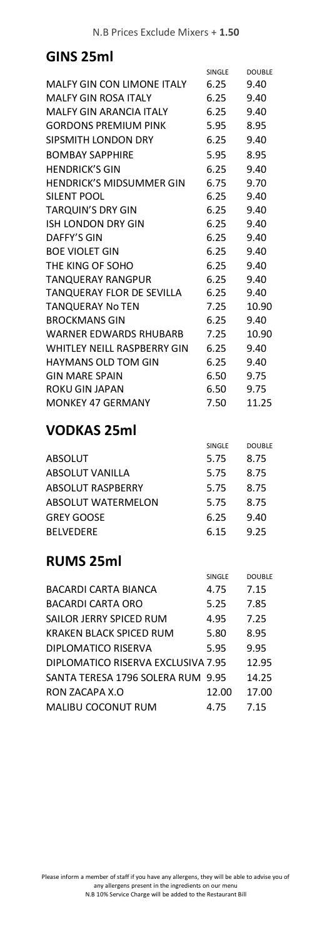### **GINS 25ml**

| MALFY GIN CON LIMONE ITALY<br><b>MALFY GIN ROSA ITALY</b><br>MALFY GIN ARANCIA ITALY<br><b>GORDONS PREMIUM PINK</b><br>SIPSMITH LONDON DRY<br><b>BOMBAY SAPPHIRE</b><br><b>HENDRICK'S GIN</b><br><b>HENDRICK'S MIDSUMMER GIN</b><br>SILENT POOL<br><b>TARQUIN'S DRY GIN</b><br>ISH LONDON DRY GIN<br>DAFFY'S GIN | SINGLE<br>6.25<br>6.25<br>6.25<br>5.95<br>6.25<br>5.95<br>6.25<br>6.75<br>6.25 | <b>DOUBLE</b><br>9.40<br>9.40<br>9.40<br>8.95<br>9.40<br>8.95<br>9.40<br>9.70 |
|------------------------------------------------------------------------------------------------------------------------------------------------------------------------------------------------------------------------------------------------------------------------------------------------------------------|--------------------------------------------------------------------------------|-------------------------------------------------------------------------------|
|                                                                                                                                                                                                                                                                                                                  |                                                                                |                                                                               |
|                                                                                                                                                                                                                                                                                                                  |                                                                                |                                                                               |
|                                                                                                                                                                                                                                                                                                                  |                                                                                |                                                                               |
|                                                                                                                                                                                                                                                                                                                  |                                                                                |                                                                               |
|                                                                                                                                                                                                                                                                                                                  |                                                                                |                                                                               |
|                                                                                                                                                                                                                                                                                                                  |                                                                                |                                                                               |
|                                                                                                                                                                                                                                                                                                                  |                                                                                |                                                                               |
|                                                                                                                                                                                                                                                                                                                  |                                                                                |                                                                               |
|                                                                                                                                                                                                                                                                                                                  |                                                                                |                                                                               |
|                                                                                                                                                                                                                                                                                                                  |                                                                                | 9.40                                                                          |
|                                                                                                                                                                                                                                                                                                                  | 6.25                                                                           | 9.40                                                                          |
|                                                                                                                                                                                                                                                                                                                  | 6.25                                                                           | 9.40                                                                          |
|                                                                                                                                                                                                                                                                                                                  | 6.25                                                                           | 9.40                                                                          |
| <b>BOE VIOLET GIN</b>                                                                                                                                                                                                                                                                                            | 6.25                                                                           | 9.40                                                                          |
| THE KING OF SOHO                                                                                                                                                                                                                                                                                                 | 6.25                                                                           | 9.40                                                                          |
| <b>TANQUERAY RANGPUR</b>                                                                                                                                                                                                                                                                                         | 6.25                                                                           | 9.40                                                                          |
| TANQUERAY FLOR DE SEVILLA                                                                                                                                                                                                                                                                                        | 6.25                                                                           | 9.40                                                                          |
| <b>TANQUERAY No TEN</b>                                                                                                                                                                                                                                                                                          | 7.25                                                                           | 10.90                                                                         |
| <b>BROCKMANS GIN</b>                                                                                                                                                                                                                                                                                             | 6.25                                                                           | 9.40                                                                          |
| WARNER EDWARDS RHUBARB                                                                                                                                                                                                                                                                                           | 7.25                                                                           | 10.90                                                                         |
| WHITLEY NEILL RASPBERRY GIN                                                                                                                                                                                                                                                                                      | 6.25                                                                           | 9.40                                                                          |
| <b>HAYMANS OLD TOM GIN</b>                                                                                                                                                                                                                                                                                       | 6.25                                                                           | 9.40                                                                          |
| <b>GIN MARE SPAIN</b>                                                                                                                                                                                                                                                                                            | 6.50                                                                           | 9.75                                                                          |
| ROKU GIN JAPAN                                                                                                                                                                                                                                                                                                   | 6.50                                                                           | 9.75                                                                          |
| <b>MONKEY 47 GERMANY</b>                                                                                                                                                                                                                                                                                         | 7.50                                                                           | 11.25                                                                         |
| <b>VODKAS 25ml</b>                                                                                                                                                                                                                                                                                               |                                                                                |                                                                               |
|                                                                                                                                                                                                                                                                                                                  | SINGLE                                                                         | <b>DOUBLE</b>                                                                 |
| ABSOLUT                                                                                                                                                                                                                                                                                                          | 5.75                                                                           | 8.75                                                                          |
| <b>ABSOLUT VANILLA</b>                                                                                                                                                                                                                                                                                           | 5.75                                                                           | 8.75                                                                          |
| ABSOLUT RASPBERRY                                                                                                                                                                                                                                                                                                | 5.75                                                                           | 8.75                                                                          |
| <b>ABSOLUT WATERMELON</b>                                                                                                                                                                                                                                                                                        | 5.75                                                                           | 8.75                                                                          |
| <b>GREY GOOSE</b>                                                                                                                                                                                                                                                                                                | 6.25                                                                           | 9.40                                                                          |
| <b>BELVEDERE</b>                                                                                                                                                                                                                                                                                                 | 6.15                                                                           | 9.25                                                                          |
| <b>RUMS 25ml</b>                                                                                                                                                                                                                                                                                                 |                                                                                |                                                                               |
|                                                                                                                                                                                                                                                                                                                  | SINGLE                                                                         | <b>DOUBLE</b>                                                                 |
| <b>BACARDI CARTA BIANCA</b>                                                                                                                                                                                                                                                                                      | 4.75                                                                           | 7.15                                                                          |
| <b>BACARDI CARTA ORO</b>                                                                                                                                                                                                                                                                                         | 5.25                                                                           | 7.85                                                                          |
| SAILOR JERRY SPICED RUM                                                                                                                                                                                                                                                                                          | 4.95                                                                           | 7.25                                                                          |
| KRAKEN BLACK SPICED RUM                                                                                                                                                                                                                                                                                          | 5.80                                                                           | 8.95                                                                          |
| DIPLOMATICO RISERVA                                                                                                                                                                                                                                                                                              | 5.95                                                                           | 9.95                                                                          |
| DIPLOMATICO RISERVA EXCLUSIVA 7.95                                                                                                                                                                                                                                                                               |                                                                                | 12.95                                                                         |
| SANTA TERESA 1796 SOLERA RUM 9.95                                                                                                                                                                                                                                                                                |                                                                                | 14.25                                                                         |
| RON ZACAPA X.O                                                                                                                                                                                                                                                                                                   | 12.00                                                                          | 17.00                                                                         |
|                                                                                                                                                                                                                                                                                                                  | 4.75                                                                           | 7.15                                                                          |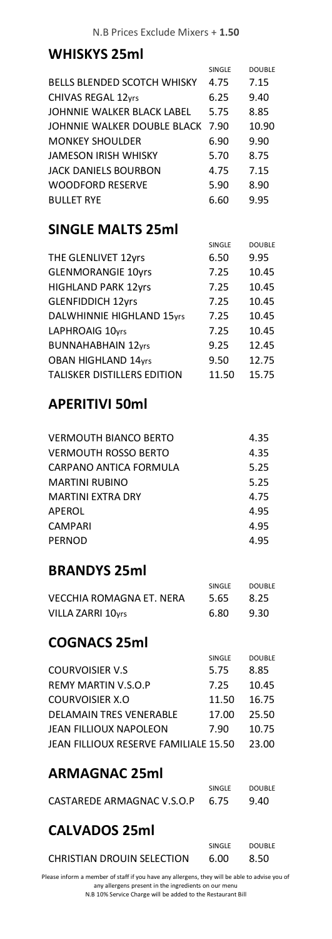# **WHISKYS 25ml**

|                                    | SINGLE | <b>DOUBLE</b> |
|------------------------------------|--------|---------------|
| <b>BELLS BLENDED SCOTCH WHISKY</b> | 4.75   | 7.15          |
| CHIVAS REGAL 12yrs                 | 6.25   | 9.40          |
| JOHNNIE WALKER BLACK LABEL         | 5.75   | 8.85          |
| JOHNNIE WALKER DOUBLE BLACK        | 7.90   | 10.90         |
| <b>MONKEY SHOULDER</b>             | 6.90   | 9.90          |
| JAMESON IRISH WHISKY               | 5.70   | 8.75          |
| JACK DANIELS BOURBON               | 4.75   | 7.15          |
| <b>WOODFORD RESERVE</b>            | 5.90   | 8.90          |
| <b>BULLET RYE</b>                  | 6.60   | 9.95          |

#### **SINGLE MALTS 25ml**

|                                    | <b>SINGLE</b> | <b>DOUBLE</b> |
|------------------------------------|---------------|---------------|
| THE GLENLIVET 12yrs                | 6.50          | 9.95          |
| <b>GLENMORANGIE 10yrs</b>          | 7.25          | 10.45         |
| <b>HIGHLAND PARK 12yrs</b>         | 7.25          | 10.45         |
| <b>GLENFIDDICH 12yrs</b>           | 7.25          | 10.45         |
| <b>DALWHINNIE HIGHLAND 15yrs</b>   | 7.25          | 10.45         |
| LAPHROAIG 10yrs                    | 7.25          | 10.45         |
| <b>BUNNAHABHAIN 12yrs</b>          | 9.25          | 12.45         |
| <b>OBAN HIGHLAND 14yrs</b>         | 9.50          | 12.75         |
| <b>TALISKER DISTILLERS EDITION</b> | 11.50         | 15.75         |

#### **APERITIVI 50ml**

| <b>VERMOUTH BIANCO BERTO</b> | 4.35 |
|------------------------------|------|
| <b>VERMOUTH ROSSO BERTO</b>  | 4.35 |
| CARPANO ANTICA FORMULA       | 5.25 |
| <b>MARTINI RUBINO</b>        | 5.25 |
| <b>MARTINI FXTRA DRY</b>     | 4.75 |
| APEROL                       | 4.95 |
| <b>CAMPARI</b>               | 4.95 |
| <b>PERNOD</b>                | 4.95 |

## **BRANDYS 25ml**

|                          | SINGLE <sup></sup> | <b>DOUBLE</b> |
|--------------------------|--------------------|---------------|
| VECCHIA ROMAGNA ET. NERA | 5.65               | 8.25          |
| VILLA ZARRI 10yrs        | 6.80               | 9.30          |

## **COGNACS 25ml**

|                                       | <b>SINGLE</b> | <b>DOUBLE</b> |
|---------------------------------------|---------------|---------------|
| <b>COURVOISIER V.S.</b>               | 5.75          | 8.85          |
| REMY MARTIN V.S.O.P                   | 7.25          | 10.45         |
| COURVOISIER X.O                       | 11.50         | 16.75         |
| <b>DELAMAIN TRES VENERABLE</b>        | 17.00         | 25.50         |
| <b>JEAN FILLIOUX NAPOLEON</b>         | 7.90          | 10.75         |
| JEAN FILLIOUX RESERVE FAMILIALE 15.50 |               | 23.00         |

## **ARMAGNAC 25ml**

|                                 | SINGLE | <b>DOUBLE</b> |
|---------------------------------|--------|---------------|
| CASTAREDE ARMAGNAC V.S.O.P 6.75 |        | 9.40          |

# **CALVADOS 25ml**

|                            | SINGLE | <b>DOUBLE</b> |
|----------------------------|--------|---------------|
| CHRISTIAN DROUIN SELECTION | 6.00   | 8.50          |

Please inform a member of staff if you have any allergens, they will be able to advise you of any allergens present in the ingredients on our menu N.B 10% Service Charge will be added to the Restaurant Bill